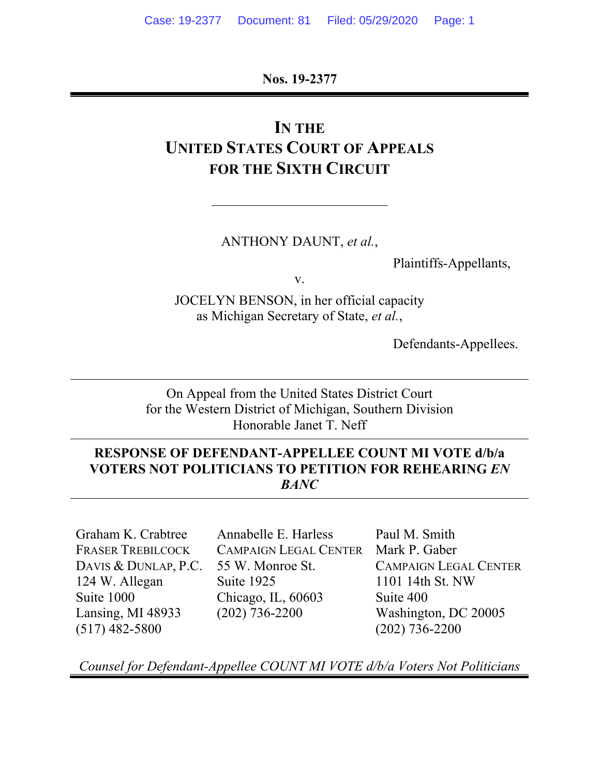**Nos. 19-2377** 

# **IN THE UNITED STATES COURT OF APPEALS FOR THE SIXTH CIRCUIT**

#### ANTHONY DAUNT, *et al.*,

Plaintiffs-Appellants,

v.

JOCELYN BENSON, in her official capacity as Michigan Secretary of State, *et al.*,

Defendants-Appellees.

On Appeal from the United States District Court for the Western District of Michigan, Southern Division Honorable Janet T. Neff

#### **RESPONSE OF DEFENDANT-APPELLEE COUNT MI VOTE d/b/a VOTERS NOT POLITICIANS TO PETITION FOR REHEARING** *EN BANC*

Graham K. Crabtree FRASER TREBILCOCK DAVIS & DUNLAP, P.C. 124 W. Allegan Suite 1000 Lansing, MI 48933 (517) 482-5800

Annabelle E. Harless CAMPAIGN LEGAL CENTER 55 W. Monroe St. Suite 1925 Chicago, IL, 60603 (202) 736-2200

Paul M. Smith Mark P. Gaber CAMPAIGN LEGAL CENTER 1101 14th St. NW Suite 400 Washington, DC 20005 (202) 736-2200

*Counsel for Defendant-Appellee COUNT MI VOTE d/b/a Voters Not Politicians*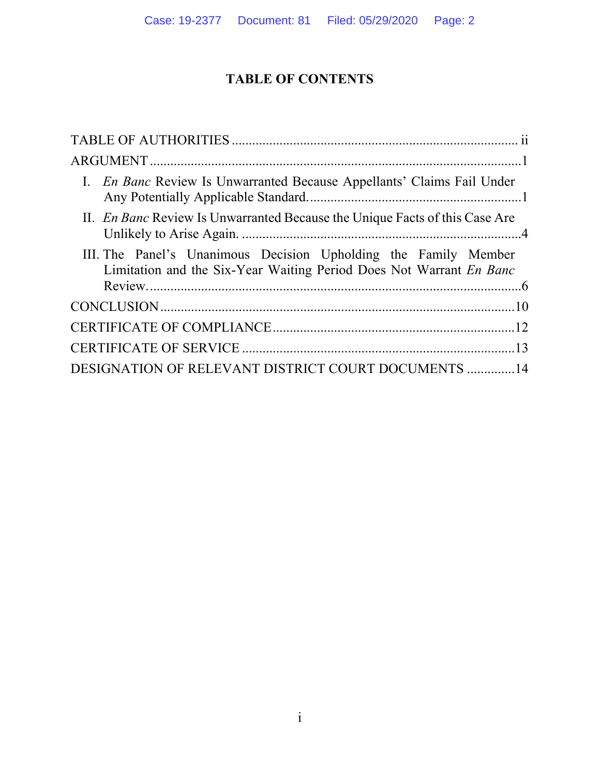## **TABLE OF CONTENTS**

| I. <i>En Banc</i> Review Is Unwarranted Because Appellants' Claims Fail Under                                                          |  |
|----------------------------------------------------------------------------------------------------------------------------------------|--|
| II. En Banc Review Is Unwarranted Because the Unique Facts of this Case Are                                                            |  |
| III. The Panel's Unanimous Decision Upholding the Family Member<br>Limitation and the Six-Year Waiting Period Does Not Warrant En Banc |  |
|                                                                                                                                        |  |
|                                                                                                                                        |  |
|                                                                                                                                        |  |
| DESIGNATION OF RELEVANT DISTRICT COURT DOCUMENTS  14                                                                                   |  |
|                                                                                                                                        |  |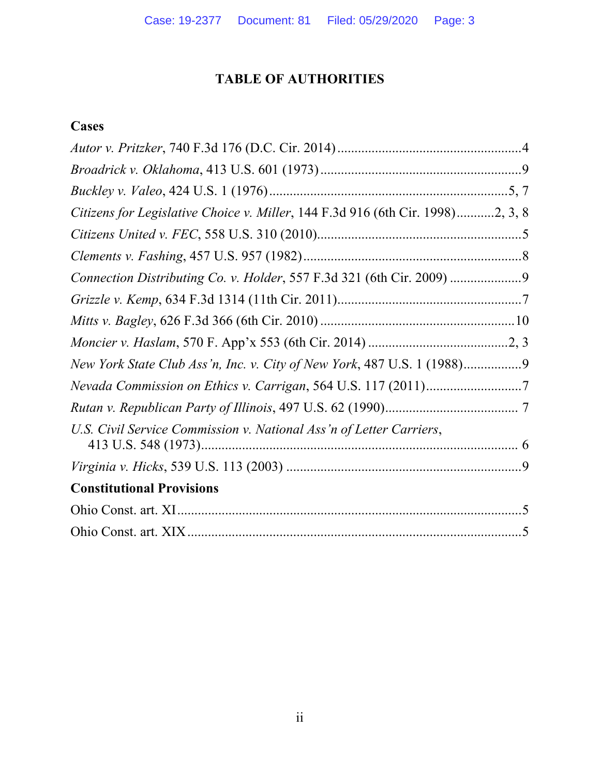## **TABLE OF AUTHORITIES**

## **Cases**

| Citizens for Legislative Choice v. Miller, 144 F.3d 916 (6th Cir. 1998)2, 3, 8 |
|--------------------------------------------------------------------------------|
|                                                                                |
|                                                                                |
| Connection Distributing Co. v. Holder, 557 F.3d 321 (6th Cir. 2009)            |
|                                                                                |
|                                                                                |
|                                                                                |
| New York State Club Ass'n, Inc. v. City of New York, 487 U.S. 1 (1988)         |
|                                                                                |
|                                                                                |
| U.S. Civil Service Commission v. National Ass'n of Letter Carriers,            |
|                                                                                |
| <b>Constitutional Provisions</b>                                               |
|                                                                                |
|                                                                                |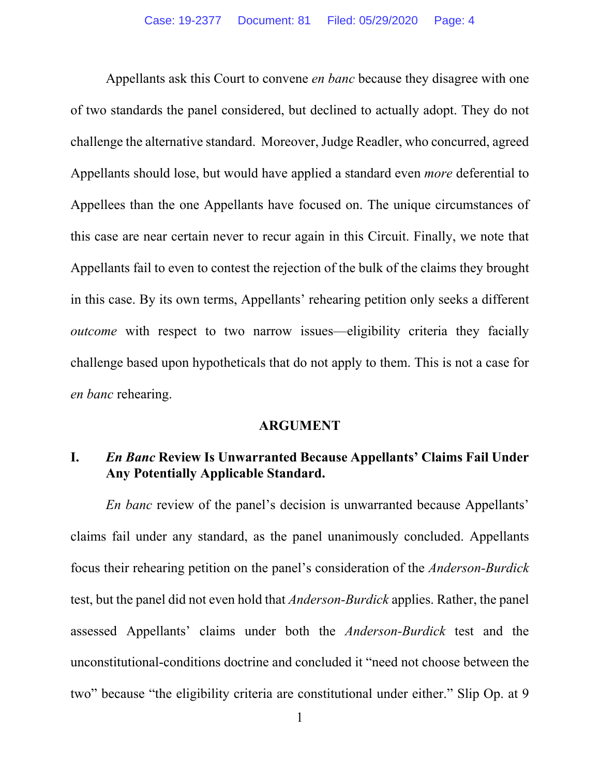Appellants ask this Court to convene *en banc* because they disagree with one of two standards the panel considered, but declined to actually adopt. They do not challenge the alternative standard. Moreover, Judge Readler, who concurred, agreed Appellants should lose, but would have applied a standard even *more* deferential to Appellees than the one Appellants have focused on. The unique circumstances of this case are near certain never to recur again in this Circuit. Finally, we note that Appellants fail to even to contest the rejection of the bulk of the claims they brought in this case. By its own terms, Appellants' rehearing petition only seeks a different *outcome* with respect to two narrow issues—eligibility criteria they facially challenge based upon hypotheticals that do not apply to them. This is not a case for *en banc* rehearing.

#### **ARGUMENT**

#### **I.** *En Banc* **Review Is Unwarranted Because Appellants' Claims Fail Under Any Potentially Applicable Standard.**

*En banc* review of the panel's decision is unwarranted because Appellants' claims fail under any standard, as the panel unanimously concluded. Appellants focus their rehearing petition on the panel's consideration of the *Anderson-Burdick*  test, but the panel did not even hold that *Anderson-Burdick* applies. Rather, the panel assessed Appellants' claims under both the *Anderson-Burdick* test and the unconstitutional-conditions doctrine and concluded it "need not choose between the two" because "the eligibility criteria are constitutional under either." Slip Op. at 9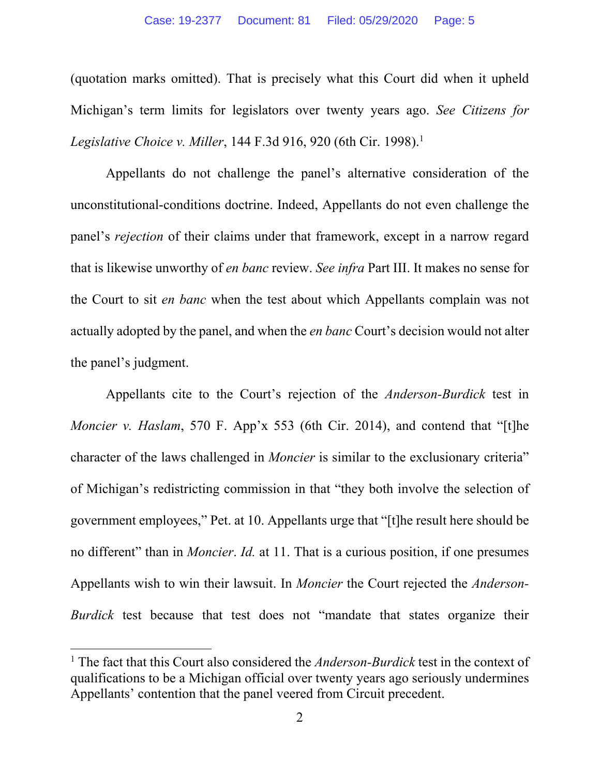(quotation marks omitted). That is precisely what this Court did when it upheld Michigan's term limits for legislators over twenty years ago. *See Citizens for Legislative Choice v. Miller*, 144 F.3d 916, 920 (6th Cir. 1998).<sup>1</sup>

 Appellants do not challenge the panel's alternative consideration of the unconstitutional-conditions doctrine. Indeed, Appellants do not even challenge the panel's *rejection* of their claims under that framework, except in a narrow regard that is likewise unworthy of *en banc* review. *See infra* Part III. It makes no sense for the Court to sit *en banc* when the test about which Appellants complain was not actually adopted by the panel, and when the *en banc* Court's decision would not alter the panel's judgment.

 Appellants cite to the Court's rejection of the *Anderson-Burdick* test in *Moncier v. Haslam*, 570 F. App'x 553 (6th Cir. 2014), and contend that "[t]he character of the laws challenged in *Moncier* is similar to the exclusionary criteria" of Michigan's redistricting commission in that "they both involve the selection of government employees," Pet. at 10. Appellants urge that "[t]he result here should be no different" than in *Moncier*. *Id.* at 11. That is a curious position, if one presumes Appellants wish to win their lawsuit. In *Moncier* the Court rejected the *Anderson-Burdick* test because that test does not "mandate that states organize their

<sup>&</sup>lt;sup>1</sup> The fact that this Court also considered the *Anderson-Burdick* test in the context of qualifications to be a Michigan official over twenty years ago seriously undermines Appellants' contention that the panel veered from Circuit precedent.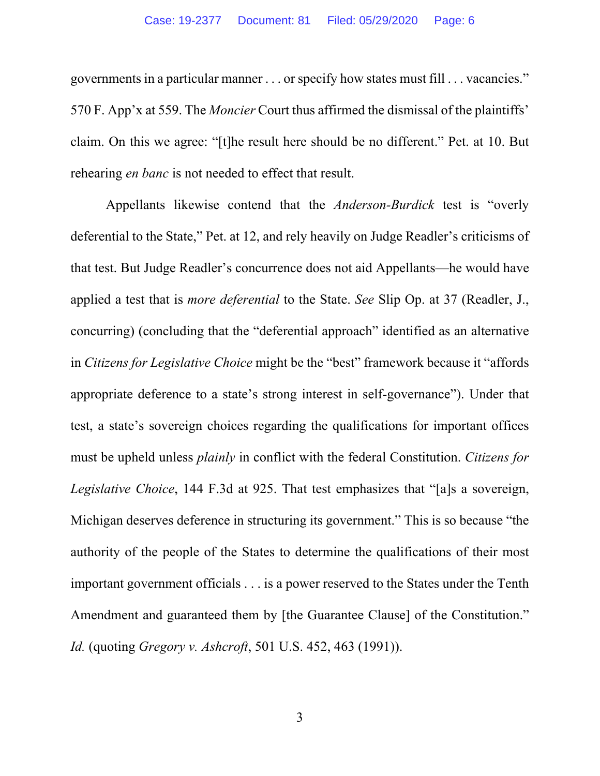governments in a particular manner . . . or specify how states must fill . . . vacancies." 570 F. App'x at 559. The *Moncier* Court thus affirmed the dismissal of the plaintiffs' claim. On this we agree: "[t]he result here should be no different." Pet. at 10. But rehearing *en banc* is not needed to effect that result.

 Appellants likewise contend that the *Anderson-Burdick* test is "overly deferential to the State," Pet. at 12, and rely heavily on Judge Readler's criticisms of that test. But Judge Readler's concurrence does not aid Appellants—he would have applied a test that is *more deferential* to the State. *See* Slip Op. at 37 (Readler, J., concurring) (concluding that the "deferential approach" identified as an alternative in *Citizens for Legislative Choice* might be the "best" framework because it "affords appropriate deference to a state's strong interest in self-governance"). Under that test, a state's sovereign choices regarding the qualifications for important offices must be upheld unless *plainly* in conflict with the federal Constitution. *Citizens for Legislative Choice*, 144 F.3d at 925. That test emphasizes that "[a]s a sovereign, Michigan deserves deference in structuring its government." This is so because "the authority of the people of the States to determine the qualifications of their most important government officials . . . is a power reserved to the States under the Tenth Amendment and guaranteed them by [the Guarantee Clause] of the Constitution." *Id.* (quoting *Gregory v. Ashcroft*, 501 U.S. 452, 463 (1991)).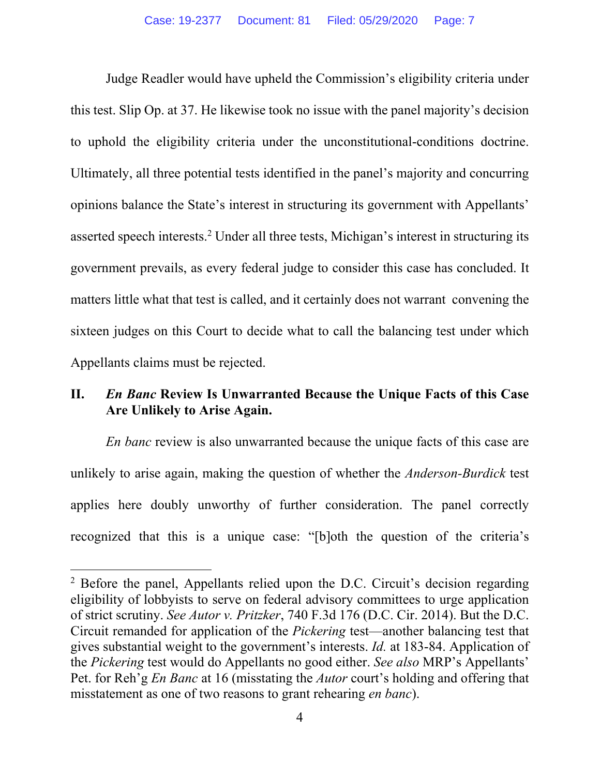Judge Readler would have upheld the Commission's eligibility criteria under this test. Slip Op. at 37. He likewise took no issue with the panel majority's decision to uphold the eligibility criteria under the unconstitutional-conditions doctrine. Ultimately, all three potential tests identified in the panel's majority and concurring opinions balance the State's interest in structuring its government with Appellants' asserted speech interests.<sup>2</sup> Under all three tests, Michigan's interest in structuring its government prevails, as every federal judge to consider this case has concluded. It matters little what that test is called, and it certainly does not warrant convening the sixteen judges on this Court to decide what to call the balancing test under which Appellants claims must be rejected.

#### **II.** *En Banc* **Review Is Unwarranted Because the Unique Facts of this Case Are Unlikely to Arise Again.**

*En banc* review is also unwarranted because the unique facts of this case are unlikely to arise again, making the question of whether the *Anderson-Burdick* test applies here doubly unworthy of further consideration. The panel correctly recognized that this is a unique case: "[b]oth the question of the criteria's

<sup>&</sup>lt;sup>2</sup> Before the panel, Appellants relied upon the D.C. Circuit's decision regarding eligibility of lobbyists to serve on federal advisory committees to urge application of strict scrutiny. *See Autor v. Pritzker*, 740 F.3d 176 (D.C. Cir. 2014). But the D.C. Circuit remanded for application of the *Pickering* test—another balancing test that gives substantial weight to the government's interests. *Id.* at 183-84. Application of the *Pickering* test would do Appellants no good either. *See also* MRP's Appellants' Pet. for Reh'g *En Banc* at 16 (misstating the *Autor* court's holding and offering that misstatement as one of two reasons to grant rehearing *en banc*).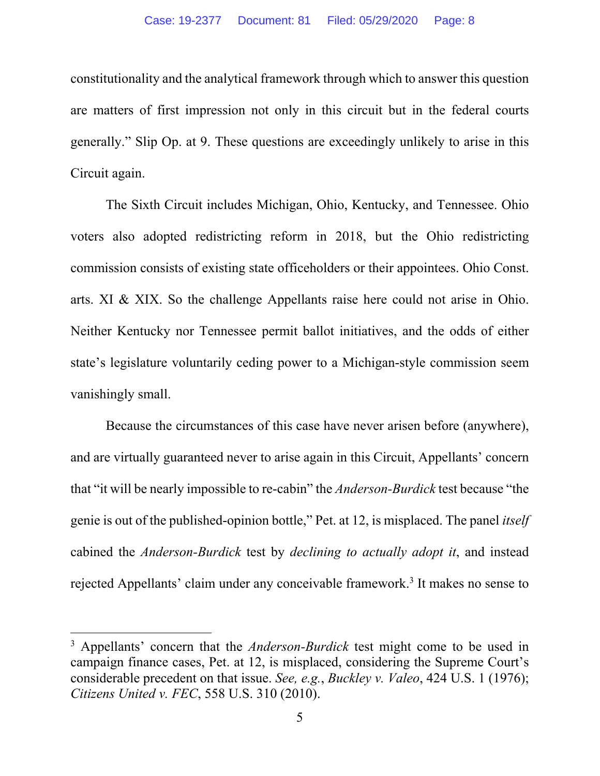constitutionality and the analytical framework through which to answer this question are matters of first impression not only in this circuit but in the federal courts generally." Slip Op. at 9. These questions are exceedingly unlikely to arise in this Circuit again.

The Sixth Circuit includes Michigan, Ohio, Kentucky, and Tennessee. Ohio voters also adopted redistricting reform in 2018, but the Ohio redistricting commission consists of existing state officeholders or their appointees. Ohio Const. arts. XI & XIX. So the challenge Appellants raise here could not arise in Ohio. Neither Kentucky nor Tennessee permit ballot initiatives, and the odds of either state's legislature voluntarily ceding power to a Michigan-style commission seem vanishingly small.

Because the circumstances of this case have never arisen before (anywhere), and are virtually guaranteed never to arise again in this Circuit, Appellants' concern that "it will be nearly impossible to re-cabin" the *Anderson-Burdick* test because "the genie is out of the published-opinion bottle," Pet. at 12, is misplaced. The panel *itself* cabined the *Anderson-Burdick* test by *declining to actually adopt it*, and instead rejected Appellants' claim under any conceivable framework.<sup>3</sup> It makes no sense to

<sup>&</sup>lt;sup>3</sup> Appellants' concern that the *Anderson-Burdick* test might come to be used in campaign finance cases, Pet. at 12, is misplaced, considering the Supreme Court's considerable precedent on that issue. *See, e.g.*, *Buckley v. Valeo*, 424 U.S. 1 (1976); *Citizens United v. FEC*, 558 U.S. 310 (2010).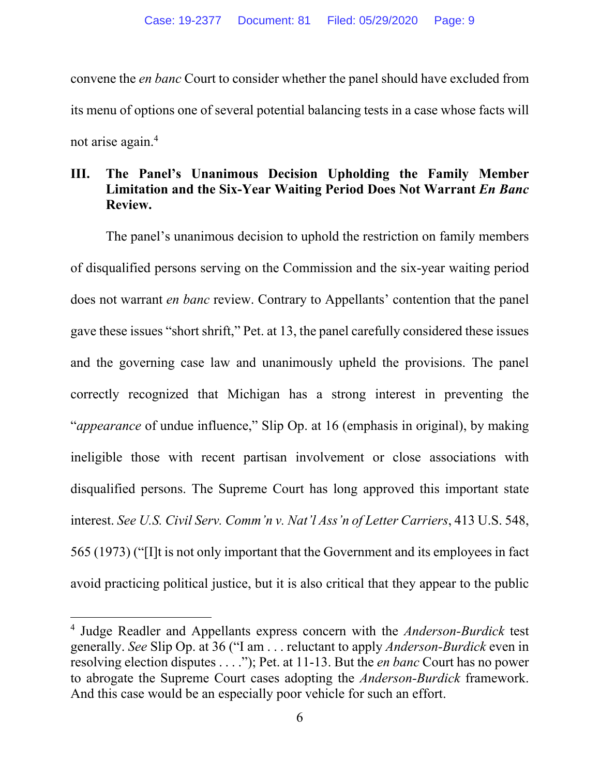convene the *en banc* Court to consider whether the panel should have excluded from its menu of options one of several potential balancing tests in a case whose facts will not arise again.4

#### **III. The Panel's Unanimous Decision Upholding the Family Member Limitation and the Six-Year Waiting Period Does Not Warrant** *En Banc* **Review.**

 The panel's unanimous decision to uphold the restriction on family members of disqualified persons serving on the Commission and the six-year waiting period does not warrant *en banc* review. Contrary to Appellants' contention that the panel gave these issues "short shrift," Pet. at 13, the panel carefully considered these issues and the governing case law and unanimously upheld the provisions. The panel correctly recognized that Michigan has a strong interest in preventing the "*appearance* of undue influence," Slip Op. at 16 (emphasis in original), by making ineligible those with recent partisan involvement or close associations with disqualified persons. The Supreme Court has long approved this important state interest. *See U.S. Civil Serv. Comm'n v. Nat'l Ass'n of Letter Carriers*, 413 U.S. 548, 565 (1973) ("[I]t is not only important that the Government and its employees in fact avoid practicing political justice, but it is also critical that they appear to the public

<sup>4</sup> Judge Readler and Appellants express concern with the *Anderson-Burdick* test generally. *See* Slip Op. at 36 ("I am . . . reluctant to apply *Anderson-Burdick* even in resolving election disputes . . . ."); Pet. at 11-13. But the *en banc* Court has no power to abrogate the Supreme Court cases adopting the *Anderson-Burdick* framework. And this case would be an especially poor vehicle for such an effort.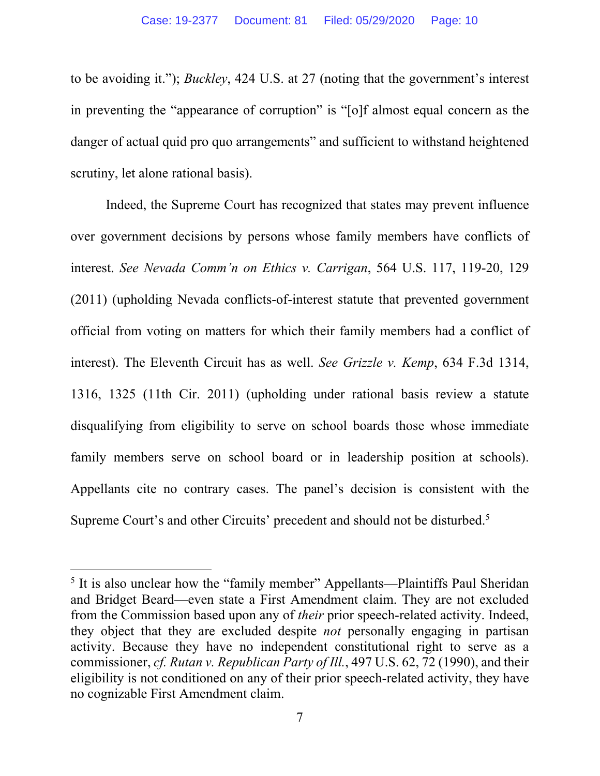to be avoiding it."); *Buckley*, 424 U.S. at 27 (noting that the government's interest in preventing the "appearance of corruption" is "[o]f almost equal concern as the danger of actual quid pro quo arrangements" and sufficient to withstand heightened scrutiny, let alone rational basis).

 Indeed, the Supreme Court has recognized that states may prevent influence over government decisions by persons whose family members have conflicts of interest. *See Nevada Comm'n on Ethics v. Carrigan*, 564 U.S. 117, 119-20, 129 (2011) (upholding Nevada conflicts-of-interest statute that prevented government official from voting on matters for which their family members had a conflict of interest). The Eleventh Circuit has as well. *See Grizzle v. Kemp*, 634 F.3d 1314, 1316, 1325 (11th Cir. 2011) (upholding under rational basis review a statute disqualifying from eligibility to serve on school boards those whose immediate family members serve on school board or in leadership position at schools). Appellants cite no contrary cases. The panel's decision is consistent with the Supreme Court's and other Circuits' precedent and should not be disturbed.<sup>5</sup>

<sup>&</sup>lt;sup>5</sup> It is also unclear how the "family member" Appellants—Plaintiffs Paul Sheridan and Bridget Beard—even state a First Amendment claim. They are not excluded from the Commission based upon any of *their* prior speech-related activity. Indeed, they object that they are excluded despite *not* personally engaging in partisan activity. Because they have no independent constitutional right to serve as a commissioner, *cf. Rutan v. Republican Party of Ill.*, 497 U.S. 62, 72 (1990), and their eligibility is not conditioned on any of their prior speech-related activity, they have no cognizable First Amendment claim.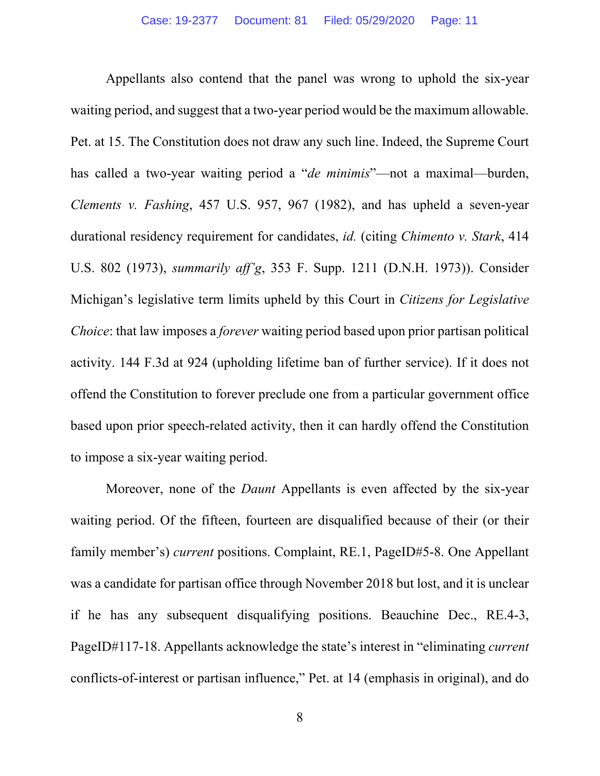Appellants also contend that the panel was wrong to uphold the six-year waiting period, and suggest that a two-year period would be the maximum allowable. Pet. at 15. The Constitution does not draw any such line. Indeed, the Supreme Court has called a two-year waiting period a "*de minimis*"—not a maximal—burden, *Clements v. Fashing*, 457 U.S. 957, 967 (1982), and has upheld a seven-year durational residency requirement for candidates, *id.* (citing *Chimento v. Stark*, 414 U.S. 802 (1973), *summarily aff'g*, 353 F. Supp. 1211 (D.N.H. 1973)). Consider Michigan's legislative term limits upheld by this Court in *Citizens for Legislative Choice*: that law imposes a *forever* waiting period based upon prior partisan political activity. 144 F.3d at 924 (upholding lifetime ban of further service). If it does not offend the Constitution to forever preclude one from a particular government office based upon prior speech-related activity, then it can hardly offend the Constitution to impose a six-year waiting period.

 Moreover, none of the *Daunt* Appellants is even affected by the six-year waiting period. Of the fifteen, fourteen are disqualified because of their (or their family member's) *current* positions. Complaint, RE.1, PageID#5-8. One Appellant was a candidate for partisan office through November 2018 but lost, and it is unclear if he has any subsequent disqualifying positions. Beauchine Dec., RE.4-3, PageID#117-18. Appellants acknowledge the state's interest in "eliminating *current*  conflicts-of-interest or partisan influence," Pet. at 14 (emphasis in original), and do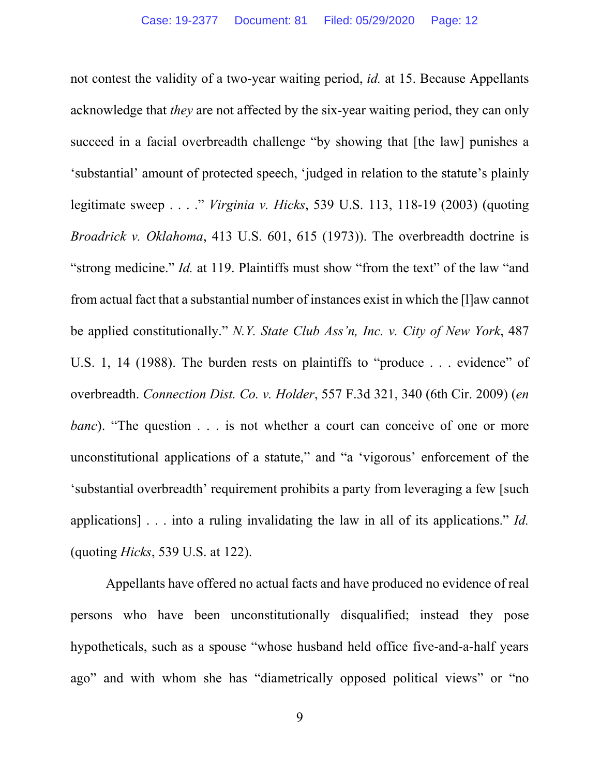not contest the validity of a two-year waiting period, *id.* at 15. Because Appellants acknowledge that *they* are not affected by the six-year waiting period, they can only succeed in a facial overbreadth challenge "by showing that [the law] punishes a 'substantial' amount of protected speech, 'judged in relation to the statute's plainly legitimate sweep . . . ." *Virginia v. Hicks*, 539 U.S. 113, 118-19 (2003) (quoting *Broadrick v. Oklahoma*, 413 U.S. 601, 615 (1973)). The overbreadth doctrine is "strong medicine." *Id.* at 119. Plaintiffs must show "from the text" of the law "and" from actual fact that a substantial number of instances exist in which the [l]aw cannot be applied constitutionally." *N.Y. State Club Ass'n, Inc. v. City of New York*, 487 U.S. 1, 14 (1988). The burden rests on plaintiffs to "produce . . . evidence" of overbreadth. *Connection Dist. Co. v. Holder*, 557 F.3d 321, 340 (6th Cir. 2009) (*en banc*). "The question . . . is not whether a court can conceive of one or more unconstitutional applications of a statute," and "a 'vigorous' enforcement of the 'substantial overbreadth' requirement prohibits a party from leveraging a few [such applications] . . . into a ruling invalidating the law in all of its applications." *Id.* (quoting *Hicks*, 539 U.S. at 122).

 Appellants have offered no actual facts and have produced no evidence of real persons who have been unconstitutionally disqualified; instead they pose hypotheticals, such as a spouse "whose husband held office five-and-a-half years ago" and with whom she has "diametrically opposed political views" or "no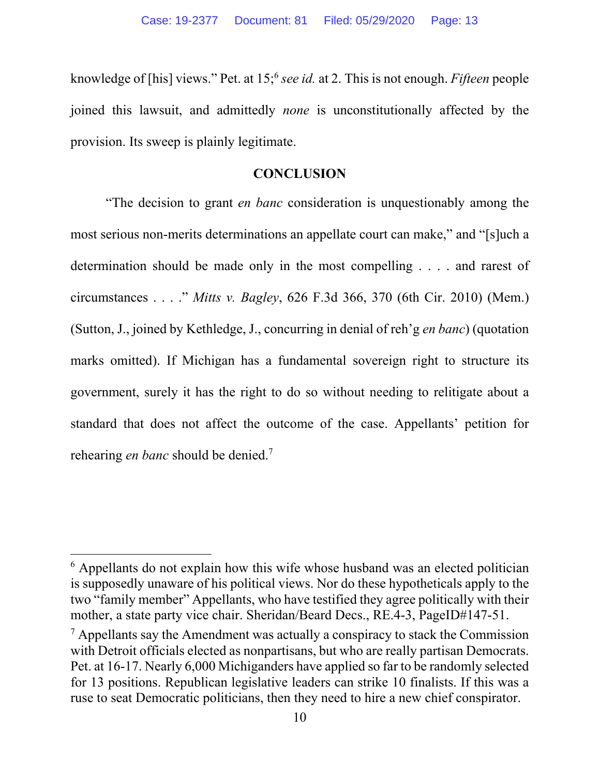knowledge of [his] views." Pet. at 15;6 *see id.* at 2. This is not enough. *Fifteen* people joined this lawsuit, and admittedly *none* is unconstitutionally affected by the provision. Its sweep is plainly legitimate.

#### **CONCLUSION**

 "The decision to grant *en banc* consideration is unquestionably among the most serious non-merits determinations an appellate court can make," and "[s]uch a determination should be made only in the most compelling . . . . and rarest of circumstances . . . ." *Mitts v. Bagley*, 626 F.3d 366, 370 (6th Cir. 2010) (Mem.) (Sutton, J., joined by Kethledge, J., concurring in denial of reh'g *en banc*) (quotation marks omitted). If Michigan has a fundamental sovereign right to structure its government, surely it has the right to do so without needing to relitigate about a standard that does not affect the outcome of the case. Appellants' petition for rehearing *en banc* should be denied.7

<sup>&</sup>lt;sup>6</sup> Appellants do not explain how this wife whose husband was an elected politician is supposedly unaware of his political views. Nor do these hypotheticals apply to the two "family member" Appellants, who have testified they agree politically with their mother, a state party vice chair. Sheridan/Beard Decs., RE.4-3, PageID#147-51.

 $<sup>7</sup>$  Appellants say the Amendment was actually a conspiracy to stack the Commission</sup> with Detroit officials elected as nonpartisans, but who are really partisan Democrats. Pet. at 16-17. Nearly 6,000 Michiganders have applied so far to be randomly selected for 13 positions. Republican legislative leaders can strike 10 finalists. If this was a ruse to seat Democratic politicians, then they need to hire a new chief conspirator.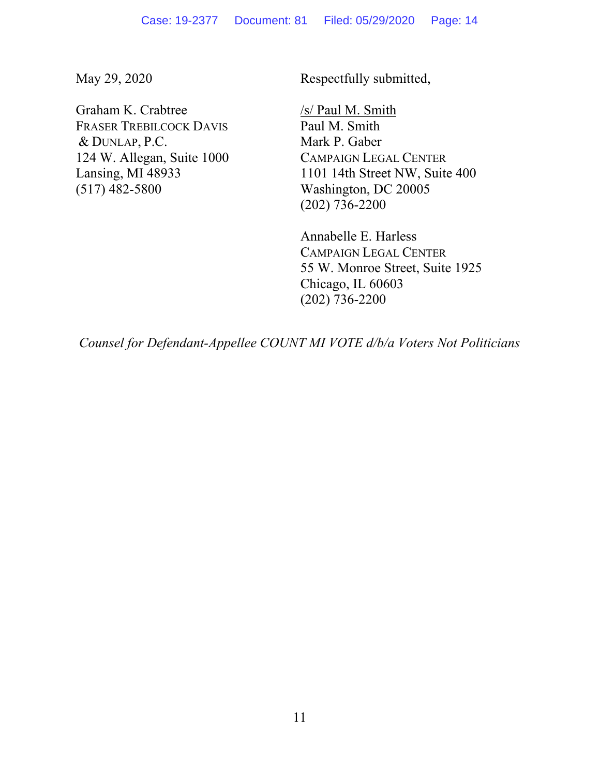May 29, 2020

Graham K. Crabtree FRASER TREBILCOCK DAVIS & DUNLAP, P.C. 124 W. Allegan, Suite 1000 Lansing, MI 48933 (517) 482-5800

Respectfully submitted,

/s/ Paul M. Smith Paul M. Smith Mark P. Gaber CAMPAIGN LEGAL CENTER 1101 14th Street NW, Suite 400 Washington, DC 20005 (202) 736-2200

Annabelle E. Harless CAMPAIGN LEGAL CENTER 55 W. Monroe Street, Suite 1925 Chicago, IL 60603 (202) 736-2200

*Counsel for Defendant-Appellee COUNT MI VOTE d/b/a Voters Not Politicians*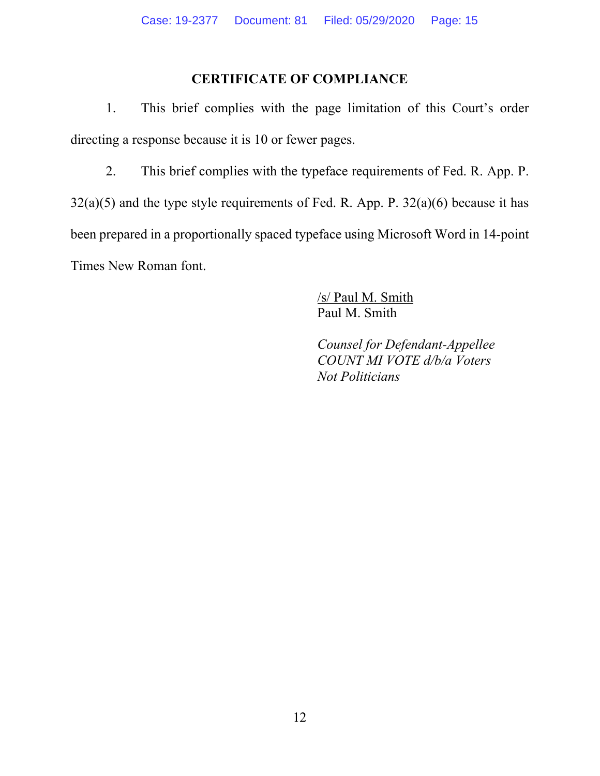### **CERTIFICATE OF COMPLIANCE**

1. This brief complies with the page limitation of this Court's order directing a response because it is 10 or fewer pages.

2. This brief complies with the typeface requirements of Fed. R. App. P.  $32(a)(5)$  and the type style requirements of Fed. R. App. P.  $32(a)(6)$  because it has been prepared in a proportionally spaced typeface using Microsoft Word in 14-point Times New Roman font.

> /s/ Paul M. Smith Paul M. Smith

 *Counsel for Defendant-Appellee COUNT MI VOTE d/b/a Voters Not Politicians*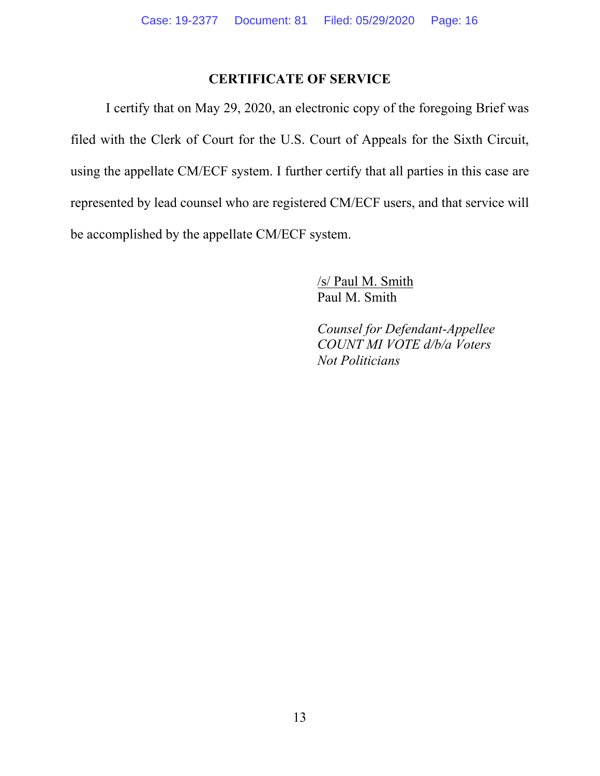#### **CERTIFICATE OF SERVICE**

 I certify that on May 29, 2020, an electronic copy of the foregoing Brief was filed with the Clerk of Court for the U.S. Court of Appeals for the Sixth Circuit, using the appellate CM/ECF system. I further certify that all parties in this case are represented by lead counsel who are registered CM/ECF users, and that service will be accomplished by the appellate CM/ECF system.

> /s/ Paul M. Smith Paul M. Smith

 *Counsel for Defendant-Appellee COUNT MI VOTE d/b/a Voters Not Politicians*